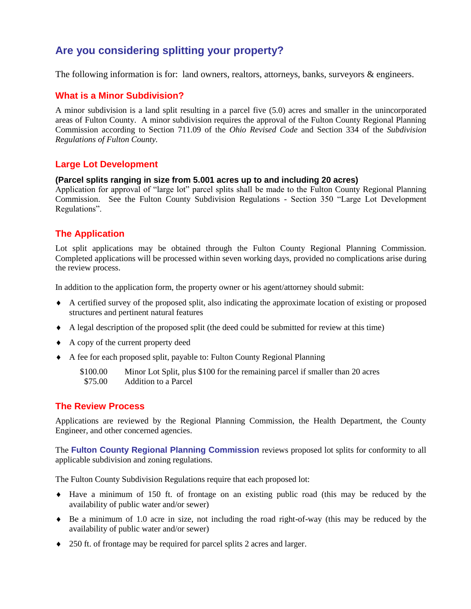# **Are you considering splitting your property?**

The following information is for: land owners, realtors, attorneys, banks, surveyors & engineers.

#### **What is a Minor Subdivision?**

A minor subdivision is a land split resulting in a parcel five (5.0) acres and smaller in the unincorporated areas of Fulton County. A minor subdivision requires the approval of the Fulton County Regional Planning Commission according to Section 711.09 of the *Ohio Revised Code* and Section 334 of the *Subdivision Regulations of Fulton County.* 

#### **Large Lot Development**

#### **(Parcel splits ranging in size from 5.001 acres up to and including 20 acres)**

Application for approval of "large lot" parcel splits shall be made to the Fulton County Regional Planning Commission. See the Fulton County Subdivision Regulations - Section 350 "Large Lot Development Regulations".

## **The Application**

Lot split applications may be obtained through the Fulton County Regional Planning Commission. Completed applications will be processed within seven working days, provided no complications arise during the review process.

In addition to the application form, the property owner or his agent/attorney should submit:

- A certified survey of the proposed split, also indicating the approximate location of existing or proposed structures and pertinent natural features
- A legal description of the proposed split (the deed could be submitted for review at this time)
- A copy of the current property deed
- A fee for each proposed split, payable to: Fulton County Regional Planning

| \$100.00 | Minor Lot Split, plus \$100 for the remaining parcel if smaller than 20 acres |
|----------|-------------------------------------------------------------------------------|
| \$75.00  | Addition to a Parcel                                                          |

#### **The Review Process**

Applications are reviewed by the Regional Planning Commission, the Health Department, the County Engineer, and other concerned agencies.

The **Fulton County Regional Planning Commission** reviews proposed lot splits for conformity to all applicable subdivision and zoning regulations.

The Fulton County Subdivision Regulations require that each proposed lot:

- Have a minimum of 150 ft. of frontage on an existing public road (this may be reduced by the availability of public water and/or sewer)
- $\bullet$  Be a minimum of 1.0 acre in size, not including the road right-of-way (this may be reduced by the availability of public water and/or sewer)
- 250 ft. of frontage may be required for parcel splits 2 acres and larger.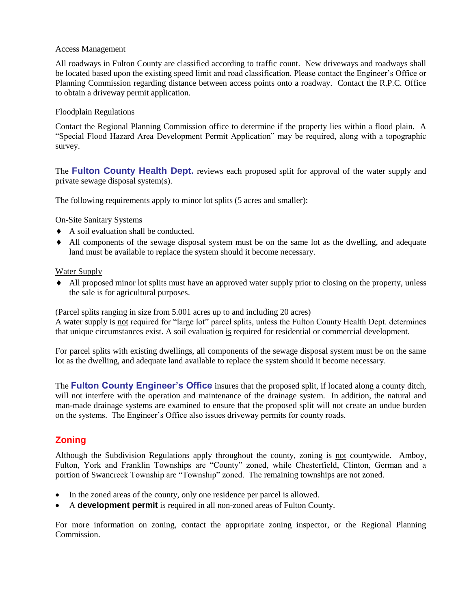#### Access Management

All roadways in Fulton County are classified according to traffic count. New driveways and roadways shall be located based upon the existing speed limit and road classification. Please contact the Engineer's Office or Planning Commission regarding distance between access points onto a roadway. Contact the R.P.C. Office to obtain a driveway permit application.

#### Floodplain Regulations

Contact the Regional Planning Commission office to determine if the property lies within a flood plain. A "Special Flood Hazard Area Development Permit Application" may be required, along with a topographic survey.

The **Fulton County Health Dept.** reviews each proposed split for approval of the water supply and private sewage disposal system(s).

The following requirements apply to minor lot splits (5 acres and smaller):

#### On-Site Sanitary Systems

- A soil evaluation shall be conducted.
- All components of the sewage disposal system must be on the same lot as the dwelling, and adequate land must be available to replace the system should it become necessary.

#### Water Supply

 All proposed minor lot splits must have an approved water supply prior to closing on the property, unless the sale is for agricultural purposes.

#### (Parcel splits ranging in size from 5.001 acres up to and including 20 acres)

A water supply is not required for "large lot" parcel splits, unless the Fulton County Health Dept. determines that unique circumstances exist. A soil evaluation is required for residential or commercial development.

For parcel splits with existing dwellings, all components of the sewage disposal system must be on the same lot as the dwelling, and adequate land available to replace the system should it become necessary.

The **Fulton County Engineer's Office** insures that the proposed split, if located along a county ditch, will not interfere with the operation and maintenance of the drainage system. In addition, the natural and man-made drainage systems are examined to ensure that the proposed split will not create an undue burden on the systems. The Engineer's Office also issues driveway permits for county roads.

## **Zoning**

Although the Subdivision Regulations apply throughout the county, zoning is not countywide. Amboy, Fulton, York and Franklin Townships are "County" zoned, while Chesterfield, Clinton, German and a portion of Swancreek Township are "Township" zoned. The remaining townships are not zoned.

- In the zoned areas of the county, only one residence per parcel is allowed.
- A **development permit** is required in all non-zoned areas of Fulton County.

For more information on zoning, contact the appropriate zoning inspector, or the Regional Planning Commission.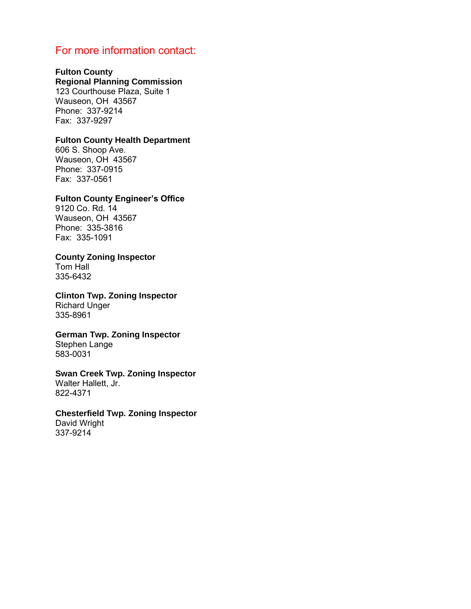# For more information contact:

#### **Fulton County**

## **Regional Planning Commission**

123 Courthouse Plaza, Suite 1 Wauseon, OH 43567 Phone: 337-9214 Fax: 337-9297

#### **Fulton County Health Department**

606 S. Shoop Ave. Wauseon, OH 43567 Phone: 337-0915 Fax: 337-0561

#### **Fulton County Engineer's Office**

9120 Co. Rd. 14 Wauseon, OH 43567 Phone: 335-3816 Fax: 335-1091

#### **County Zoning Inspector**

Tom Hall 335-6432

**Clinton Twp. Zoning Inspector**  Richard Unger 335-8961

#### **German Twp. Zoning Inspector**  Stephen Lange

583-0031

# **Swan Creek Twp. Zoning Inspector**

Walter Hallett, Jr. 822-4371

#### **Chesterfield Twp. Zoning Inspector**

David Wright 337-9214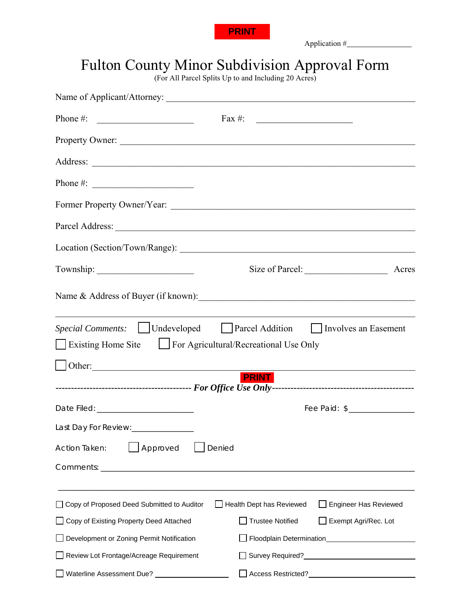

# Fulton County Minor Subdivision Approval Form

|                                                                            | <b>PRINT</b>                                                                                                 |
|----------------------------------------------------------------------------|--------------------------------------------------------------------------------------------------------------|
|                                                                            | <b>Fulton County Minor Subdivision Approval Form</b><br>(For All Parcel Splits Up to and Including 20 Acres) |
|                                                                            |                                                                                                              |
| Phone #: $\qquad \qquad$                                                   |                                                                                                              |
| Property Owner:                                                            |                                                                                                              |
|                                                                            |                                                                                                              |
|                                                                            |                                                                                                              |
|                                                                            |                                                                                                              |
|                                                                            |                                                                                                              |
|                                                                            |                                                                                                              |
|                                                                            |                                                                                                              |
| Existing Home Site <b>Similarly</b> For Agricultural/Recreational Use Only | <i>Special Comments:</i>   Undeveloped   Parcel Addition   Involves an Easement                              |
|                                                                            |                                                                                                              |
| Other:                                                                     | <u>PRINT</u>                                                                                                 |
|                                                                            |                                                                                                              |
| Last Day For Review: _______________                                       |                                                                                                              |
| Approved<br>Denied<br>Action Taken:                                        |                                                                                                              |
|                                                                            |                                                                                                              |
| □ Copy of Proposed Deed Submitted to Auditor                               | Health Dept has Reviewed<br><b>Engineer Has Reviewed</b>                                                     |
| Copy of Existing Property Deed Attached                                    | <b>Trustee Notified</b><br>Exempt Agri/Rec. Lot                                                              |
| Development or Zoning Permit Notification                                  |                                                                                                              |
| Review Lot Frontage/Acreage Requirement                                    |                                                                                                              |
|                                                                            |                                                                                                              |